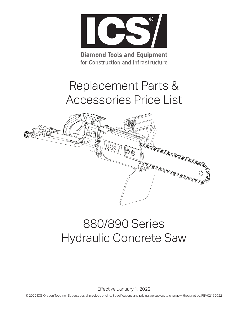

**Diamond Tools and Equipment** for Construction and Infrastructure

# Replacement Parts & Accessories Price List



## 880/890 Series Hydraulic Concrete Saw

Effective January 1, 2022

© 2022 ICS, Oregon Tool, Inc. Supersedes all previous pricing. Specifications and pricing are subject to change without notice. REV02152022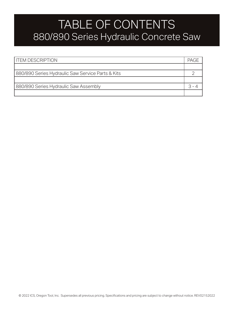### TABLE OF CONTENTS 880/890 Series Hydraulic Concrete Saw

| <b>ITEM DESCRIPTION</b>                           | PAG- |  |
|---------------------------------------------------|------|--|
|                                                   |      |  |
| 880/890 Series Hydraulic Saw Service Parts & Kits |      |  |
|                                                   |      |  |
| 880/890 Series Hydraulic Saw Assembly             |      |  |
|                                                   |      |  |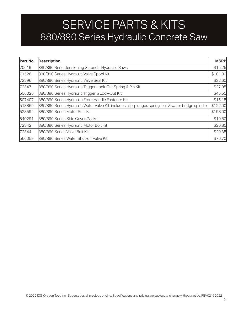## SERVICE PARTS & KITS 880/890 Series Hydraulic Concrete Saw

| Part No. | <b>Description</b>                                                                                    |         |  |
|----------|-------------------------------------------------------------------------------------------------------|---------|--|
| 70619    | 880/890 SeriesTensioning Scrench, Hydraulic Saws                                                      |         |  |
| 71526    | 880/890 Series Hydraulic Valve Spool Kit                                                              |         |  |
| 72296    | 880/890 Series Hydraulic Valve Seal Kit                                                               |         |  |
| 72347    | 880/890 Series Hydraulic Trigger Lock-Out Spring & Pin Kit                                            |         |  |
| 506026   | 880/890 Series Hydraulic Trigger & Lock-Out Kit                                                       | \$45.55 |  |
| 507407   | 880/890 Series Hydraulic Front Handle Fastener Kit                                                    |         |  |
| 518869   | 880/890 Series Hydraulic Water Valve Kit, includes clip, plunger, spring, ball & water bridge spindle |         |  |
| 528594   | 880/890 Series Motor Seal Kit                                                                         |         |  |
| 540291   | 880/890 Series Side Cover Gasket                                                                      |         |  |
| 72342    | 880/890 Series Hydraulic Motor Bolt Kit                                                               |         |  |
| 72344    | 880/890 Series Valve Bolt Kit                                                                         |         |  |
| 566059   | 880/890 Series Water Shut-off Valve Kit                                                               | \$76.70 |  |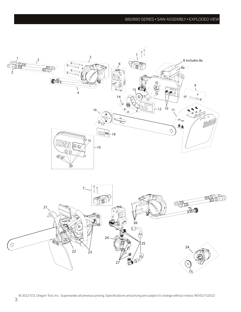#### 880/890 SERIES • SAW ASSEMBLY • EXPLODED VIEW

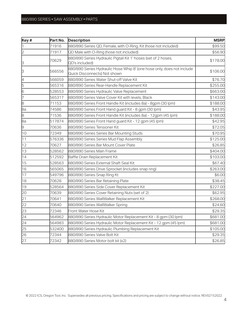#### 880/890 SERIES • SAW ASSEMBLY • PARTS

| Key #          | Part No. | <b>Description</b>                                                                                     | <b>MSRP</b> |
|----------------|----------|--------------------------------------------------------------------------------------------------------|-------------|
|                | 71916    | 880/890 Series QD, Female, with O-Ring, Kit (hose not included)                                        | \$99.50     |
| $\overline{2}$ | 71917    | QD Male with O-Ring (hose not included)                                                                | \$56.90     |
| 3              | 70629    | 880/890 Series Hydraulic Pigtail Kit 1' hoses (set of 2 hoses,<br>QD's included)                       | \$178.00    |
| 3              | 566556   | 880/890 Series Hydraulic Hose Whip 8' (one hose only, does not include<br>Quick Disconnects) Not shown | \$106.00    |
| 4              | 566059   | 880/890 Series Water Shut-off Valve Kit                                                                | \$76.70     |
| 5              | 565316   | 880/890 Series Rear-Handle Replacement Kit                                                             | \$255.00    |
| 6              | 528553   | 880/890 Series Hydraulic Valve Replacement                                                             | \$663.00    |
| 17             | 565317   | 880/890 Series Valve Cover Kit with levels, Black                                                      | \$143.00    |
| 8              | 71153    | 880/890 Series Front Handle Kit (includes 8a) - 8gpm (30 lpm)                                          | \$188.00    |
| 8a             | 74586    | 880/890 Series Front Hand guard Kit - 8 gpm (30 lpm)                                                   | \$43.95     |
| 8              | 71536    | 880/890 Series Front Handle Kit (includes 8a) - 12gpm (45 lpm)                                         | \$188.00    |
| 8a             | 517874   | 880/890 Series Front Hand guard Kit - 12 gpm (45 lpm)                                                  | \$42.95     |
| 9              | 70636    | 880/890 Series Tensioner Kit                                                                           | \$72.05     |
| 10             | 72349    | 880/890 Series Series Bar Mounting Studs                                                               | \$70.95     |
| 11             | 576336   | 880/890 Series Series Mud Flap Assembly                                                                | \$125.00    |
| 12             | 70627    | 880/890 Series Bar Mount Cover Plate                                                                   | \$26.85     |
| 13             | 528562   | 880/890 Series Main Frame                                                                              | \$404.00    |
| 14             | 512592   | Baffle Drain Replacement Kit                                                                           | \$103.00    |
| 15             | 528563   | 880/890 Series External Shaft Seal Kit                                                                 | \$67.40     |
| 16             | 565065   | 880/890 Series Drive Sprocket (includes snap ring)                                                     | \$263.00    |
| 17             | 549796   | 880/890 Series Snap Ring Kt                                                                            | \$6.00      |
| 18             | 70628    | 880/890 Series Bar Retaining Plate                                                                     | \$38.45     |
| 19             | 528564   | 880/890 Series Side Cover Replacement Kit                                                              | \$227.00    |
| 20             | 70639    | 880/890 Series Cover Retaining Nuts (set of 2)                                                         | \$62.95     |
| 21             | 70641    | 880/890 Series WallWalker Replacement Kit                                                              | \$268.00    |
| 22             | 70640    | 880/890 Series WallWalker Spring                                                                       | \$24.60     |
| 23             | 72346    | Front Water Hose Kit                                                                                   | \$29.35     |
| 24             | 564962   | 880/890 Series Hydraulic Motor Replacement Kit - 8 gpm (30 lpm)                                        | \$681.00    |
| 24             | 564983   | 880/890 Series Hydraulic Motor Replacement Kit - 12 gpm (45 lpm)                                       | \$681.00    |
| 25             | 532400   | 880/890 Series Hydraulic Plumbing Replacement Kit                                                      | \$105.00    |
| 26             | 72344    | 880/890 Series Valve Bolt Kit                                                                          | \$29.35     |
| 27             | 72342    | 880/890 Series Motor bolt kit (x2)                                                                     | \$26.85     |